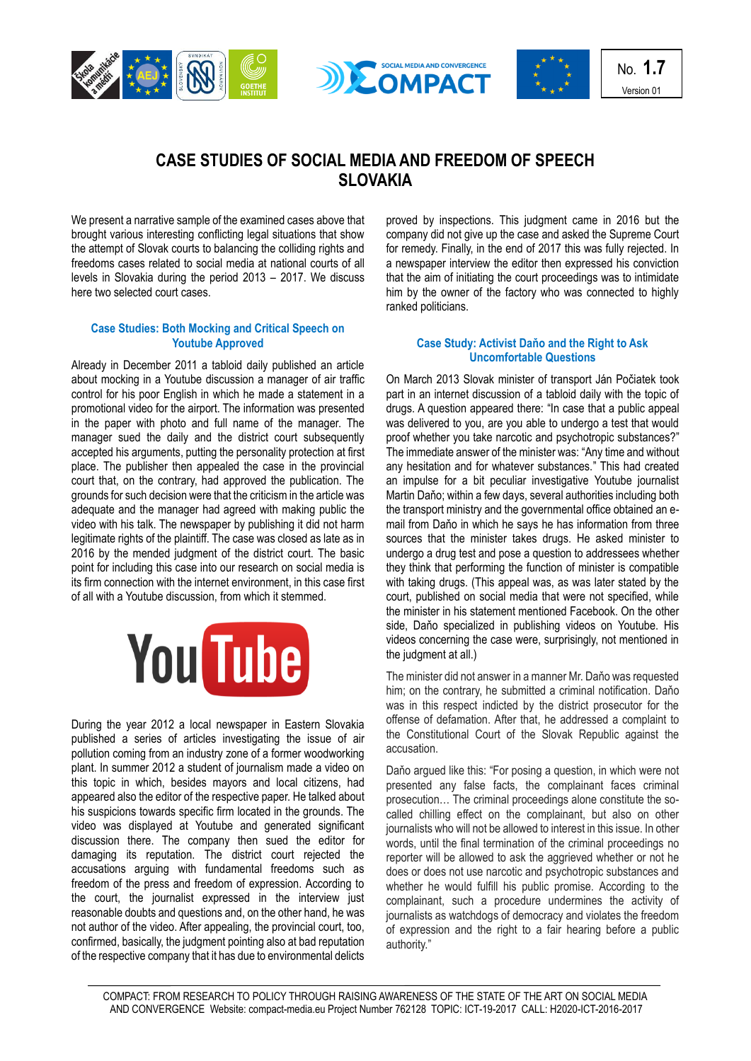





No. **1.7** Version 01

# **CASE STUDIES OF SOCIAL MEDIA AND FREEDOM OF SPEECH SLOVAKIA**

We present a narrative sample of the examined cases above that brought various interesting conflicting legal situations that show the attempt of Slovak courts to balancing the colliding rights and freedoms cases related to social media at national courts of all levels in Slovakia during the period 2013 – 2017. We discuss here two selected court cases.

# **Case Studies: Both Mocking and Critical Speech on Youtube Approved**

Already in December 2011 a tabloid daily published an article about mocking in a Youtube discussion a manager of air traffic control for his poor English in which he made a statement in a promotional video for the airport. The information was presented in the paper with photo and full name of the manager. The manager sued the daily and the district court subsequently accepted his arguments, putting the personality protection at first place. The publisher then appealed the case in the provincial court that, on the contrary, had approved the publication. The grounds for such decision were that the criticism in the article was adequate and the manager had agreed with making public the video with his talk. The newspaper by publishing it did not harm legitimate rights of the plaintiff. The case was closed as late as in 2016 by the mended judgment of the district court. The basic point for including this case into our research on social media is its firm connection with the internet environment, in this case first of all with a Youtube discussion, from which it stemmed.



During the year 2012 a local newspaper in Eastern Slovakia published a series of articles investigating the issue of air pollution coming from an industry zone of a former woodworking plant. In summer 2012 a student of journalism made a video on this topic in which, besides mayors and local citizens, had appeared also the editor of the respective paper. He talked about his suspicions towards specific firm located in the grounds. The video was displayed at Youtube and generated significant discussion there. The company then sued the editor for damaging its reputation. The district court rejected the accusations arguing with fundamental freedoms such as freedom of the press and freedom of expression. According to the court, the journalist expressed in the interview just reasonable doubts and questions and, on the other hand, he was not author of the video. After appealing, the provincial court, too, confirmed, basically, the judgment pointing also at bad reputation of the respective company that it has due to environmental delicts

proved by inspections. This judgment came in 2016 but the company did not give up the case and asked the Supreme Court for remedy. Finally, in the end of 2017 this was fully rejected. In a newspaper interview the editor then expressed his conviction that the aim of initiating the court proceedings was to intimidate him by the owner of the factory who was connected to highly ranked politicians.

## **Case Study: Activist Daňo and the Right to Ask Uncomfortable Questions**

On March 2013 Slovak minister of transport Ján Počiatek took part in an internet discussion of a tabloid daily with the topic of drugs. A question appeared there: "In case that a public appeal was delivered to you, are you able to undergo a test that would proof whether you take narcotic and psychotropic substances?" The immediate answer of the minister was: "Any time and without any hesitation and for whatever substances." This had created an impulse for a bit peculiar investigative Youtube journalist Martin Daňo; within a few days, several authorities including both the transport ministry and the governmental office obtained an email from Daňo in which he says he has information from three sources that the minister takes drugs. He asked minister to undergo a drug test and pose a question to addressees whether they think that performing the function of minister is compatible with taking drugs. (This appeal was, as was later stated by the court, published on social media that were not specified, while the minister in his statement mentioned Facebook. On the other side, Daňo specialized in publishing videos on Youtube. His videos concerning the case were, surprisingly, not mentioned in the judgment at all.)

The minister did not answer in a manner Mr. Daňo was requested him; on the contrary, he submitted a criminal notification. Daňo was in this respect indicted by the district prosecutor for the offense of defamation. After that, he addressed a complaint to the Constitutional Court of the Slovak Republic against the accusation.

Daňo argued like this: "For posing a question, in which were not presented any false facts, the complainant faces criminal prosecution… The criminal proceedings alone constitute the socalled chilling effect on the complainant, but also on other journalists who will not be allowed to interest in this issue. In other words, until the final termination of the criminal proceedings no reporter will be allowed to ask the aggrieved whether or not he does or does not use narcotic and psychotropic substances and whether he would fulfill his public promise. According to the complainant, such a procedure undermines the activity of journalists as watchdogs of democracy and violates the freedom of expression and the right to a fair hearing before a public authority."